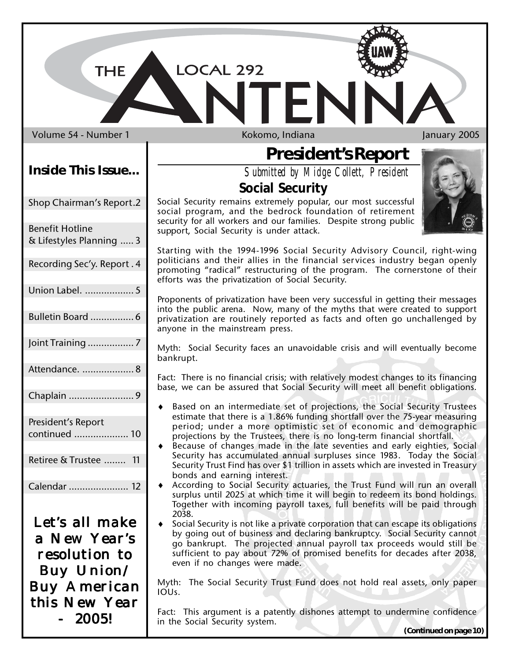LOCAL 292

Volume 54 - Number 1 **Kokomo, Indiana** January 2005

**THE** 

#### **Inside This Issue...**

Shop Chairman's Report.2

| <b>Benefit Hotline</b><br>& Lifestyles Planning  3 |
|----------------------------------------------------|
| Recording Sec'y. Report. 4                         |
| Union Label.  5                                    |
| Bulletin Board  6                                  |
|                                                    |
| Attendance.  8                                     |
| Chaplain 9                                         |
| President's Report<br>continued  10                |
| Retiree & Trustee  11                              |
| Calendar  12                                       |

Let's all make a New Year's resolution to Buy Union/ Buy American this New Year 2005!

**President's Report**

*Submitted by Midge Collett, President*

#### **Social Security**

Social Security remains extremely popular, our most successful social program, and the bedrock foundation of retirement security for all workers and our families. Despite strong public support, Social Security is under attack.

Starting with the 1994-1996 Social Security Advisory Council, right-wing politicians and their allies in the financial services industry began openly promoting "radical" restructuring of the program. The cornerstone of their efforts was the privatization of Social Security.

Proponents of privatization have been very successful in getting their messages into the public arena. Now, many of the myths that were created to support privatization are routinely reported as facts and often go unchallenged by anyone in the mainstream press.

Myth: Social Security faces an unavoidable crisis and will eventually become bankrupt.

Fact: There is no financial crisis; with relatively modest changes to its financing base, we can be assured that Social Security will meet all benefit obligations.

- ♦ Based on an intermediate set of projections, the Social Security Trustees estimate that there is a 1.86% funding shortfall over the 75-year measuring period; under a more optimistic set of economic and demographic projections by the Trustees, there is no long-term financial shortfall.
- ♦ Because of changes made in the late seventies and early eighties, Social Security has accumulated annual surpluses since 1983. Today the Social Security Trust Find has over \$1 trillion in assets which are invested in Treasury bonds and earning interest.
- ♦ According to Social Security actuaries, the Trust Fund will run an overall surplus until 2025 at which time it will begin to redeem its bond holdings. Together with incoming payroll taxes, full benefits will be paid through 2038.
- Social Security is not like a private corporation that can escape its obligations by going out of business and declaring bankruptcy. Social Security cannot go bankrupt. The projected annual payroll tax proceeds would still be sufficient to pay about 72% of promised benefits for decades after 2038, even if no changes were made.

Myth: The Social Security Trust Fund does not hold real assets, only paper IOUs.

Fact: This argument is a patently dishones attempt to undermine confidence in the Social Security system.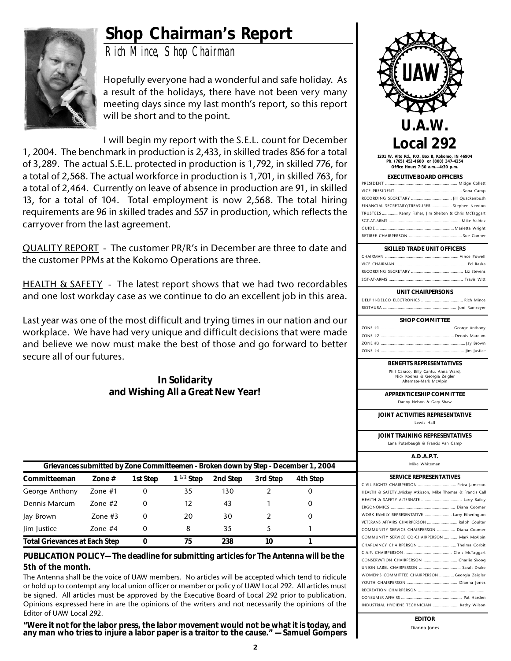### **Shop Chairman's Report**



*Rich Mince, Shop Chairman*

Hopefully everyone had a wonderful and safe holiday. As a result of the holidays, there have not been very many meeting days since my last month's report, so this report will be short and to the point.

I will begin my report with the S.E.L. count for December 1, 2004. The benchmark in production is 2,433, in skilled trades 856 for a total of 3,289. The actual S.E.L. protected in production is 1,792, in skilled 776, for a total of 2,568. The actual workforce in production is 1,701, in skilled 763, for a total of 2,464. Currently on leave of absence in production are 91, in skilled 13, for a total of 104. Total employment is now 2,568. The total hiring requirements are 96 in skilled trades and 557 in production, which reflects the carryover from the last agreement.

QUALITY REPORT - The customer PR/R's in December are three to date and the customer PPMs at the Kokomo Operations are three.

HEALTH & SAFETY - The latest report shows that we had two recordables and one lost workday case as we continue to do an excellent job in this area.

Last year was one of the most difficult and trying times in our nation and our workplace. We have had very unique and difficult decisions that were made and believe we now must make the best of those and go forward to better secure all of our futures.

> **In Solidarity and Wishing All a Great New Year!**

| Grievances submitted by Zone Committeemen - Broken down by Step - December 1, 2004 |           |          |                |          |          |          |  |
|------------------------------------------------------------------------------------|-----------|----------|----------------|----------|----------|----------|--|
| Committeeman                                                                       | Zone $#$  | 1st Step | $1^{1/2}$ Step | 2nd Step | 3rd Step | 4th Step |  |
| George Anthony                                                                     | Zone $#1$ | 0        | 35             | 130      |          |          |  |
| Dennis Marcum                                                                      | 7one #2   | 0        | 12             | 43       |          |          |  |
| Jay Brown                                                                          | Zone $#3$ | 0        | 20             | 30       |          |          |  |
| lim lustice                                                                        | Zone $#4$ | 0        | 8              | 35       |          |          |  |
| <b>Total Grievances at Each Step</b>                                               |           | O        | 75             | 238      | 10       |          |  |

#### **PUBLICATION POLICY— The deadline for submitting articles for The Antenna will be the 5th of the month.**

The Antenna shall be the voice of UAW members. No articles will be accepted which tend to ridicule or hold up to contempt any local union officer or member or policy of UAW Local 292. All articles must be signed. All articles must be approved by the Executive Board of Local 292 prior to publication. Opinions expressed here in are the opinions of the writers and not necessarily the opinions of the Editor of UAW Local 292.

**"Were it not for the labor press, the labor movement would not be what it is today, and any man who tries to injure a labor paper is a traitor to the cause." — Samuel Gompers**



**1201 W. Alto Rd., P.O. Box B, Kokomo, IN 46904 Ph. (765) 453-4600 or (800) 347-4254 Office Hours 7:30 a.m.—4:30 p.m.**

| <b>EXECUTIVE BOARD OFFICERS</b>                       |
|-------------------------------------------------------|
|                                                       |
|                                                       |
|                                                       |
| FINANCIAL SECRETARY/TREASURER  Stephen Newton         |
| TRUSTEES  Kenny Fisher, Jim Shelton & Chris McTaggart |
|                                                       |
|                                                       |
|                                                       |
|                                                       |

#### **SKILLED TRADE UNIT OFFICERS**

#### **UNIT CHAIRPERSONS**

| <b>SHOP COMMITTEE</b> |  |  |  |  |  |
|-----------------------|--|--|--|--|--|
|                       |  |  |  |  |  |
|                       |  |  |  |  |  |
|                       |  |  |  |  |  |
|                       |  |  |  |  |  |

#### **BENEFITS REPRESENTATIVES**

Phil Caraco, Billy Cantu, Anna Ward, Nick Kodrea & Georgia Zeigler Alternate-Mark McAlpin

**APPRENTICESHIP COMMITTEE**

Danny Nelson & Gary Shaw

**JOINT ACTIVITIES REPRESENTATIVE**

Lewis Hall

**JOINT TRAINING REPRESENTATIVES**

Lana Puterbaugh & Francis Van Camp

#### **A.D.A.P.T.** Mike Whiteman

| <b>SERVICE REPRESENTATIVES</b>                             |  |  |  |  |
|------------------------------------------------------------|--|--|--|--|
|                                                            |  |  |  |  |
| HEALTH & SAFETYMickey Atkisson, Mike Thomas & Francis Call |  |  |  |  |
|                                                            |  |  |  |  |
|                                                            |  |  |  |  |
| WORK FAMILY REPRESENTATIVE  Larry Etherington              |  |  |  |  |
| VETERANS AFFAIRS CHAIRPERSON  Ralph Coulter                |  |  |  |  |
| COMMUNITY SERVICE CHAIRPERSON  Diana Coomer                |  |  |  |  |
| COMMUNITY SERVICE CO-CHAIRPERSON  Mark McAlpin             |  |  |  |  |
| CHAPLAINCY CHAIRPERSON  Thelma Corbit                      |  |  |  |  |
|                                                            |  |  |  |  |
| CONSERVATION CHAIRPERSON  Charlie Skoog                    |  |  |  |  |
|                                                            |  |  |  |  |
| WOMEN'S COMMITTEE CHAIRPERSON  Georgia Zeigler             |  |  |  |  |
|                                                            |  |  |  |  |
|                                                            |  |  |  |  |
|                                                            |  |  |  |  |
| INDUSTRIAL HYGIENE TECHNICIAN  Kathy Wilson                |  |  |  |  |
|                                                            |  |  |  |  |

**EDITOR** Dianna Jones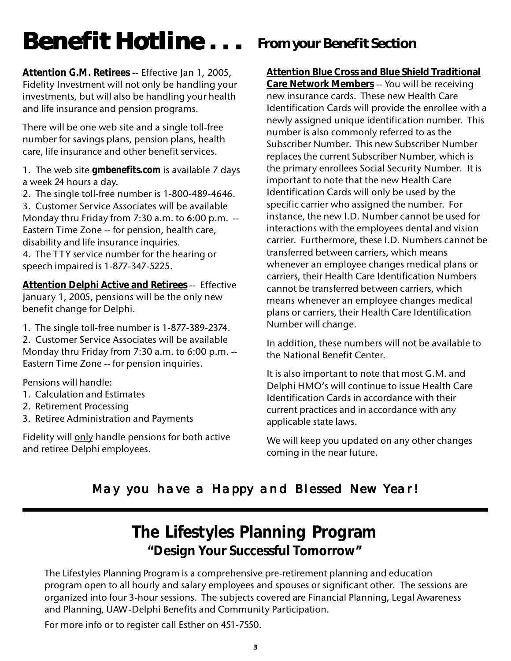# **Benefit Hotline . . .**

**Attention G.M. Retirees** -- Effective Jan 1, 2005, Fidelity Investment will not only be handling your investments, but will also be handling your health and life insurance and pension programs.

There will be one web site and a single toll-free number for savings plans, pension plans, health care, life insurance and other benefit services.

1. The web site *gmbenefits.com* is available 7 days a week 24 hours a day.

2. The single toll-free number is 1-800-489-4646.

3. Customer Service Associates will be available Monday thru Friday from 7:30 a.m. to 6:00 p.m. -- Eastern Time Zone -- for pension, health care, disability and life insurance inquiries.

4. The TTY service number for the hearing or speech impaired is 1-877-347-5225.

**Attention Delphi Active and Retirees** -- Effective January 1, 2005, pensions will be the only new benefit change for Delphi.

1. The single toll-free number is 1-877-389-2374.

2. Customer Service Associates will be available Monday thru Friday from 7:30 a.m. to 6:00 p.m. -- Eastern Time Zone -- for pension inquiries.

Pensions will handle:

- 1. Calculation and Estimates
- 2. Retirement Processing
- 3. Retiree Administration and Payments

Fidelity will only handle pensions for both active and retiree Delphi employees.

### **From your Benefit Section**

**Attention Blue Cross and Blue Shield Traditional**

**Care Network Members** -- You will be receiving new insurance cards. These new Health Care Identification Cards will provide the enrollee with a newly assigned unique identification number. This number is also commonly referred to as the Subscriber Number. This new Subscriber Number replaces the current Subscriber Number, which is the primary enrollees Social Security Number. It is important to note that the new Health Care Identification Cards will only be used by the specific carrier who assigned the number. For instance, the new I.D. Number cannot be used for interactions with the employees dental and vision carrier. Furthermore, these I.D. Numbers cannot be transferred between carriers, which means whenever an employee changes medical plans or carriers, their Health Care Identification Numbers cannot be transferred between carriers, which means whenever an employee changes medical plans or carriers, their Health Care Identification Number will change.

In addition, these numbers will not be available to the National Benefit Center.

It is also important to note that most G.M. and Delphi HMO's will continue to issue Health Care Identification Cards in accordance with their current practices and in accordance with any applicable state laws.

We will keep you updated on any other changes coming in the near future.

#### May you have a Happy and Blessed New Year!

### **The Lifestyles Planning Program "Design Your Successful Tomorrow"**

The Lifestyles Planning Program is a comprehensive pre-retirement planning and education program open to all hourly and salary employees and spouses or significant other. The sessions are organized into four 3-hour sessions. The subjects covered are Financial Planning, Legal Awareness and Planning, UAW-Delphi Benefits and Community Participation.

For more info or to register call Esther on 451-7550.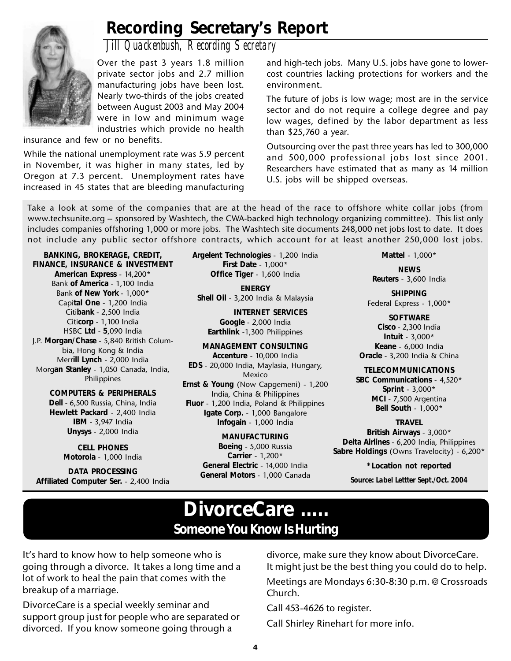

### **Recording Secretary's Report**

*Jill Quackenbush, Recording Secretary*

Over the past 3 years 1.8 million private sector jobs and 2.7 million manufacturing jobs have been lost. Nearly two-thirds of the jobs created between August 2003 and May 2004 were in low and minimum wage industries which provide no health

insurance and few or no benefits.

While the national unemployment rate was 5.9 percent in November, it was higher in many states, led by Oregon at 7.3 percent. Unemployment rates have increased in 45 states that are bleeding manufacturing

and high-tech jobs. Many U.S. jobs have gone to lowercost countries lacking protections for workers and the environment.

The future of jobs is low wage; most are in the service sector and do not require a college degree and pay low wages, defined by the labor department as less than \$25,760 a year.

Outsourcing over the past three years has led to 300,000 and 500,000 professional jobs lost since 2001. Researchers have estimated that as many as 14 million U.S. jobs will be shipped overseas.

Take a look at some of the companies that are at the head of the race to offshore white collar jobs (from www.techsunite.org -- sponsored by Washtech, the CWA-backed high technology organizing committee). This list only includes companies offshoring 1,000 or more jobs. The Washtech site documents 248,000 net jobs lost to date. It does not include any public sector offshore contracts, which account for at least another 250,000 lost jobs.

**BANKING, BROKERAGE, CREDIT, FINANCE, INSURANCE & INVESTMENT American Express** - 14,200\* Bank **of America** - 1,100 India Bank **of New York** - 1,000\* Capi**tal One** - 1,200 India Citi**bank** - 2,500 India Citi**corp** - 1,100 India HSBC **Ltd** - **5**,090 India J.P. **Morgan/Chase** - 5,840 British Columbia, Hong Kong & India Merr**ill Lynch** - 2,000 India Morg**an Stanley** - 1,050 Canada, India, Philippines

> **COMPUTERS & PERIPHERALS Dell** - 6,500 Russia, China, India **Hewlett Packard** - 2,400 India **IBM** - 3,947 India **Unysys** - 2,000 India

> > **CELL PHONES Motorola** - 1,000 India

**DATA PROCESSING Affiliated Computer Ser.** - 2,400 India **Argelent Technologies** - 1,200 India **First Date** - 1,000\* **Office Tiger** - 1,600 India

**ENERGY Shell Oil** - 3,200 India & Malaysia

**INTERNET SERVICES Google** - 2,000 India **Earthlink** -1,300 Philippines

**MANAGEMENT CONSULTING Accenture** - 10,000 India **EDS** - 20,000 India, Maylasia, Hungary, Mexico **Ernst & Young** (Now Capgemeni) - 1,200 India, China & Philippines **Fluor** - 1,200 India, Poland & Philippines **Igate Corp.** - 1,000 Bangalore **Infogain** - 1,000 India

> **MANUFACTURING Boeing** - 5,000 Russia **Carrier** - 1,200\* **General Electric** - 14,000 India **General Motors** - 1,000 Canada

**Mattel** - 1,000\*

**NEWS Reuters** - 3,600 India

**SHIPPING** Federal Express - 1,000\*

**SOFTWARE Cisco** - 2,300 India **Intuit** - 3,000\* **Keane** - 6,000 India **Oracle** - 3,200 India & China

**TELECOMMUNICATIONS SBC Communications** - 4,520\* **Sprint** - 3,000\* **MCI** - 7,500 Argentina **Bell South** - 1,000\*

#### **TRAVEL**

**British Airways** - 3,000\* **Delta Airlines** - 6,200 India, Philippines **Sabre Holdings** (Owns Travelocity) - 6,200\*

> **\*Location not reported** *Source: Label Lettter Sept./Oct. 2004*

### **DivorceCare ..... Someone You Know Is Hurting**

It's hard to know how to help someone who is going through a divorce. It takes a long time and a lot of work to heal the pain that comes with the breakup of a marriage.

DivorceCare is a special weekly seminar and support group just for people who are separated or divorced. If you know someone going through a

divorce, make sure they know about DivorceCare. It might just be the best thing you could do to help. Meetings are Mondays 6:30-8:30 p.m. @ Crossroads Church.

Call 453-4626 to register.

Call Shirley Rinehart for more info.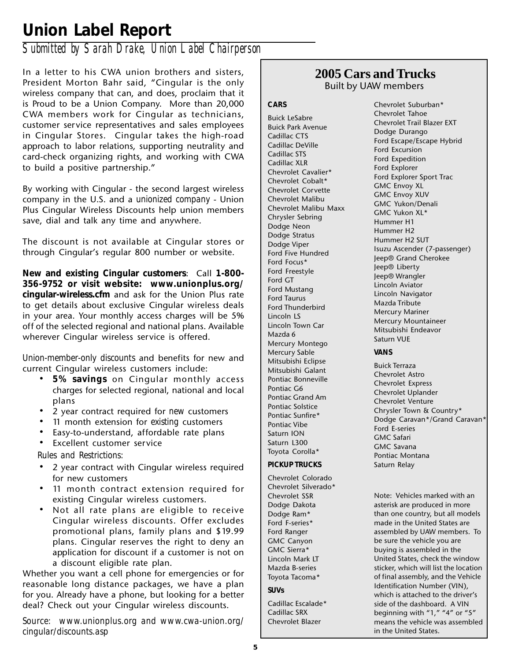### **Union Label Report**

#### *Submitted by Sarah Drake, Union Label Chairperson*

In a letter to his CWA union brothers and sisters, President Morton Bahr said, "Cingular is the only wireless company that can, and does, proclaim that it is Proud to be a Union Company. More than 20,000 CWA members work for Cingular as technicians, customer service representatives and sales employees in Cingular Stores. Cingular takes the high-road approach to labor relations, supporting neutrality and card-check organizing rights, and working with CWA to build a positive partnership."

By working with Cingular - the second largest wireless company in the U.S. and a *unionized company* - Union Plus Cingular Wireless Discounts help union members save, dial and talk any time and anywhere.

The discount is not available at Cingular stores or through Cingular's regular 800 number or website.

**New and existing Cingular customers**: Call **1-800- 356-9752 or visit website: www.unionplus.org/ cingular-wireless.cfm** and ask for the Union Plus rate to get details about exclusive Cingular wireless deals in your area. Your monthly access charges will be 5% off of the selected regional and national plans. Available wherever Cingular wireless service is offered.

*Union-member-only discounts* and benefits for new and current Cingular wireless customers include:

- **5% savings** on Cingular monthly access charges for selected regional, national and local plans
- 2 year contract required for *new* customers
- 11 month extension for *existing* customers
- Easy-to-understand, affordable rate plans
- Excellent customer service

*Rules and Restrictions:*

- 2 year contract with Cingular wireless required for new customers
- 11 month contract extension required for existing Cingular wireless customers.
- Not all rate plans are eligible to receive Cingular wireless discounts. Offer excludes promotional plans, family plans and \$19.99 plans. Cingular reserves the right to deny an application for discount if a customer is not on a discount eligible rate plan.

Whether you want a cell phone for emergencies or for reasonable long distance packages, we have a plan for you. Already have a phone, but looking for a better deal? Check out your Cingular wireless discounts.

*Source: www.unionplus.org and www.cwa-union.org/ cingular/discounts.asp*

#### **2005 Cars and Trucks** Built by UAW members

**CARS**

Buick LeSabre Buick Park Avenue Cadillac CTS Cadillac DeVille Cadillac STS Cadillac XLR Chevrolet Cavalier\* Chevrolet Cobalt\* Chevrolet Corvette Chevrolet Malibu Chevrolet Malibu Maxx Chrysler Sebring Dodge Neon Dodge Stratus Dodge Viper Ford Five Hundred Ford Focus\* Ford Freestyle Ford GT Ford Mustang Ford Taurus Ford Thunderbird Lincoln LS Lincoln Town Car Mazda 6 Mercury Montego Mercury Sable Mitsubishi Eclipse Mitsubishi Galant Pontiac Bonneville Pontiac G6 Pontiac Grand Am Pontiac Solstice Pontiac Sunfire\* Pontiac Vibe Saturn ION Saturn L300 Toyota Corolla\*

#### **PICKUP TRUCKS**

Chevrolet Colorado Chevrolet Silverado\* Chevrolet SSR Dodge Dakota Dodge Ram\* Ford F-series\* Ford Ranger GMC Canyon GMC Sierra\* Lincoln Mark LT Mazda B-series Toyota Tacoma\* **SUVs**

Cadillac Escalade\* Cadillac SRX Chevrolet Blazer

Chevrolet Suburban\* Chevrolet Tahoe Chevrolet Trail Blazer EXT Dodge Durango Ford Escape/Escape Hybrid Ford Excursion Ford Expedition Ford Explorer Ford Explorer Sport Trac GMC Envoy XL GMC Envoy XUV GMC Yukon/Denali GMC Yukon XL\* Hummer H1 Hummer H2 Hummer H2 SUT Isuzu Ascender (7-passenger) Jeep® Grand Cherokee Jeep® Liberty Jeep® Wrangler Lincoln Aviator Lincoln Navigator Mazda Tribute Mercury Mariner Mercury Mountaineer Mitsubishi Endeavor Saturn VUE

#### **VANS**

Buick Terraza Chevrolet Astro Chevrolet Express Chevrolet Uplander Chevrolet Venture Chrysler Town & Country\* Dodge Caravan\*/Grand Caravan\* Ford E-series GMC Safari GMC Savana Pontiac Montana Saturn Relay

Note: Vehicles marked with an asterisk are produced in more than one country, but all models made in the United States are assembled by UAW members. To be sure the vehicle you are buying is assembled in the United States, check the window sticker, which will list the location of final assembly, and the Vehicle Identification Number (VIN), which is attached to the driver's side of the dashboard. A VIN beginning with "1," "4" or "5" means the vehicle was assembled in the United States.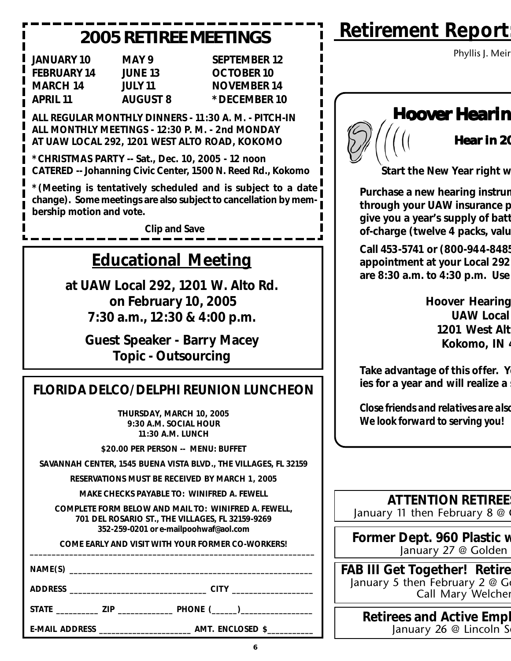### **2005 RETIREE MEETINGS**

| <b>JANUARY 10</b>  | M  |
|--------------------|----|
| <b>FEBRUARY 14</b> | ЛU |
| <b>MARCH 14</b>    | JU |
| <b>APRIL 11</b>    | AL |

AY 9 SEPTEMBER 12 **FEBRUARY 13** OCTOBER 10 LY 11 **NOVEMBER 14 APRIL 11 AUGUST 8 \*DECEMBER 10** 

**ALL REGULAR MONTHLY DINNERS - 11:30 A. M. - PITCH-IN ALL MONTHLY MEETINGS - 12:30 P. M. - 2nd MONDAY AT UAW LOCAL 292, 1201 WEST ALTO ROAD, KOKOMO**

**\*CHRISTMAS PARTY -- Sat., Dec. 10, 2005 - 12 noon CATERED -- Johanning Civic Center, 1500 N. Reed Rd., Kokomo**

**\*(Meeting is tentatively scheduled and is subject to a date change). Some meetings are also subject to cancellation by membership motion and vote.**

**Clip and Save**

### **Educational Meeting**

**at UAW Local 292, 1201 W. Alto Rd. on February 10, 2005 7:30 a.m., 12:30 & 4:00 p.m.**

**Guest Speaker - Barry Macey Topic - Outsourcing**

### **FLORIDA DELCO/DELPHI REUNION LUNCHEON**

**THURSDAY, MARCH 10, 2005 9:30 A.M. SOCIAL HOUR 11:30 A.M. LUNCH**

**\$20.00 PER PERSON -- MENU: BUFFET**

**SAVANNAH CENTER, 1545 BUENA VISTA BLVD., THE VILLAGES, FL 32159**

**RESERVATIONS MUST BE RECEIVED BY MARCH 1, 2005**

**MAKE CHECKS PAYABLE TO: WINIFRED A. FEWELL**

**COMPLETE FORM BELOW AND MAIL TO: WINIFRED A. FEWELL, 701 DEL ROSARIO ST., THE VILLAGES, FL 32159-9269 352-259-0201 or e-mailpoohwaf@aol.com**

COME EARLY AND VISIT WITH YOUR FORMER CO-WORKERS!

**NAME(S) \_\_\_\_\_\_\_\_\_\_\_\_\_\_\_\_\_\_\_\_\_\_\_\_\_\_\_\_\_\_\_\_\_\_\_\_\_\_\_\_\_\_\_\_\_\_\_\_\_\_\_\_\_\_\_\_**

**ADDRESS \_\_\_\_\_\_\_\_\_\_\_\_\_\_\_\_\_\_\_\_\_\_\_\_\_\_\_\_\_\_\_\_ CITY \_\_\_\_\_\_\_\_\_\_\_\_\_\_\_\_\_\_\_**

**STATE \_\_\_\_\_\_\_\_\_\_ ZIP \_\_\_\_\_\_\_\_\_\_\_\_\_ PHONE (\_\_\_\_\_\_)\_\_\_\_\_\_\_\_\_\_\_\_\_\_\_\_\_**

| <b>Retirement Report</b> |  |
|--------------------------|--|
|                          |  |

Phyllis J. Meir

### **Hoover Hearin**



**Start the New Year right w**

**Purchase a new hearing instrum through your UAW insurance p give you a year's supply of batt of-charge (twelve 4 packs, valu**

**Call 453-5741 or (800-944-8485 appointment at your Local 292 are 8:30 a.m. to 4:30 p.m. Use** 

> **Hoover Hearing UAW Local 1201 West Alt Kokomo, IN 4**

**Take advantage of this offer. Y ies for a year and will realize a** 

*Close friends and relatives are also We look forward to serving you!*

**ATTENTION RETIREE** January 11 then February 8  $@$ 

**Former Dept. 960 Plastic w** January 27 @ Golden

**FAB III Get Together! Retire** January 5 then February 2  $@$  G Call Mary Welcher

> **Retirees and Active Empl** January 26  $@$  Lincoln S

**E-MAIL ADDRESS \_\_\_\_\_\_\_\_\_\_\_\_\_\_\_\_\_\_\_\_\_\_ AMT. ENCLOSED \$\_\_\_\_\_\_\_\_\_\_\_**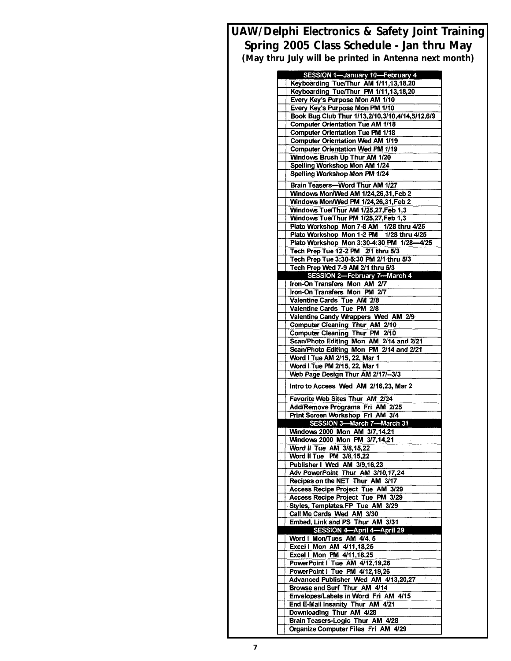**UAW/Delphi Electronics & Safety Joint Training Spring 2005 Class Schedule - Jan thru May (May thru July will be printed in Antenna next month)**

| SESSION 1-January 10-February 4                                                                     |
|-----------------------------------------------------------------------------------------------------|
| Keyboarding Tue/Thur AM 1/11,13,18,20                                                               |
| Keyboarding Tue/Thur PM 1/11,13,18,20                                                               |
| Every Key's Purpose Mon AM 1/10<br>Every Key's Purpose Mon PM 1/10                                  |
| Book Bug Club Thur 1/13,2/10,3/10,4/14,5/12,6/9                                                     |
| <b>Computer Orientation Tue AM 1/18</b>                                                             |
| <b>Computer Orientation Tue PM 1/18</b>                                                             |
| <b>Computer Orientation Wed AM 1/19</b>                                                             |
| <b>Computer Orientation Wed PM 1/19</b>                                                             |
| Windows Brush Up Thur AM 1/20                                                                       |
| Spelling Workshop Mon AM 1/24                                                                       |
| Spelling Workshop Mon PM 1/24                                                                       |
| Brain Teasers-Word Thur AM 1/27                                                                     |
| Windows Mon/Wed AM 1/24,26,31, Feb 2                                                                |
| Windows Mon/Wed PM 1/24,26,31, Feb 2                                                                |
| Windows Tue/Thur AM 1/25,27, Feb 1,3                                                                |
| Windows Tue/Thur PM 1/25,27, Feb 1,3                                                                |
| Plato Workshop Mon 7-8 AM 1/28 thru 4/25                                                            |
| Plato Workshop Mon 1-2 PM 1/28 thru 4/25                                                            |
| Plato Workshop Mon 3:30-4:30 PM 1/28-4/25                                                           |
| Tech Prep Tue 12-2 PM 2/1 thru 5/3                                                                  |
| Tech Prep Tue 3:30-5:30 PM 2/1 thru 5/3                                                             |
| Tech Prep Wed 7-9 AM 2/1 thru 5/3                                                                   |
| SESSION 2-February 7-March 4                                                                        |
| <b>Iron-On Transfers Mon AM 2/7</b>                                                                 |
| Iron-On Transfers Mon PM 2/7                                                                        |
| Valentine Cards Tue AM 2/8                                                                          |
| Valentine Cards Tue PM 2/8                                                                          |
| Valentine Candy Wrappers Wed AM 2/9                                                                 |
| <b>Computer Cleaning Thur AM 2/10</b>                                                               |
| <b>Computer Cleaning Thur PM 2/10</b>                                                               |
| Scan/Photo Editing Mon AM 2/14 and 2/21                                                             |
| Scan/Photo Editing Mon PM 2/14 and 2/21                                                             |
| Word I Tue AM 2/15, 22, Mar 1<br>Word I Tue PM 2/15, 22, Mar 1                                      |
| Web Page Design Thur AM 2/17/-3/3                                                                   |
|                                                                                                     |
| Intro to Access Wed AM 2/16,23, Mar 2                                                               |
| Favorite Web Sites Thur AM 2/24                                                                     |
| Add/Remove Programs Fri AM 2/25                                                                     |
| Print Screen Workshop Fri AM 3/4                                                                    |
| SESSION 3-March 7-March 31                                                                          |
| Windows 2000 Mon AM 3/7,14,21                                                                       |
| Windows 2000 Mon PM 3/7,14,21                                                                       |
| Word II Tue AM 3/8,15,22                                                                            |
| Word II Tue PM 3/8,15,22                                                                            |
| Publisher I Wed AM 3/9,16,23                                                                        |
| Adv PowerPoint Thur AM 3/10, 17,24                                                                  |
| Recipes on the NET Thur AM 3/17                                                                     |
|                                                                                                     |
| Access Recipe Project Tue AM 3/29                                                                   |
| Access Recipe Project Tue PM 3/29                                                                   |
| Styles, Templates FP Tue AM 3/29                                                                    |
| Call Me Cards Wed AM 3/30                                                                           |
| Embed, Link and PS Thur AM 3/31                                                                     |
| SESSION 4-April 4-April 29                                                                          |
| Word I Mon/Tues AM 4/4, 5                                                                           |
| Excel I Mon AM 4/11,18,25                                                                           |
| Excel   Mon PM 4/11,18,25                                                                           |
| PowerPoint I Tue AM 4/12,19,26                                                                      |
| PowerPoint I Tue PM 4/12,19,26                                                                      |
| Advanced Publisher Wed AM 4/13,20,27                                                                |
| Browse and Surf Thur AM 4/14                                                                        |
| Envelopes/Labels in Word Fri AM 4/15                                                                |
| End E-Mail Insanity Thur AM 4/21                                                                    |
| Downloading Thur AM 4/28<br>Brain Teasers-Logic Thur AM 4/28<br>Organize Computer Files Fri AM 4/29 |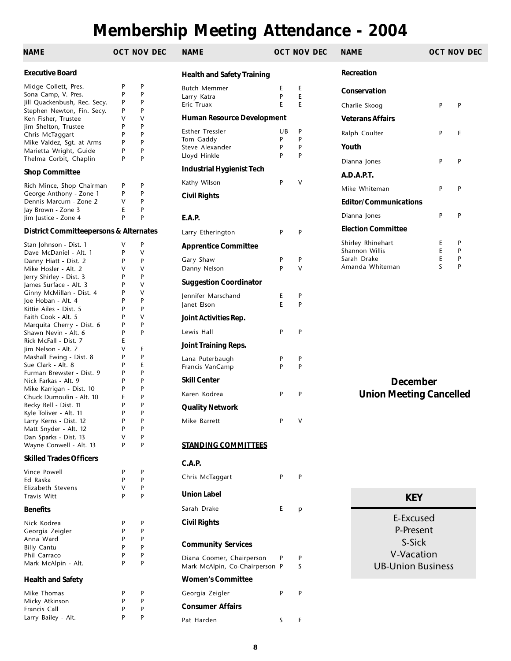### **Membership Meeting Attendance - 2004**

| NAME                                              |        | OCT NOV DEC | <b>NAME</b>                                                 | OCT NO |        |
|---------------------------------------------------|--------|-------------|-------------------------------------------------------------|--------|--------|
| <b>Executive Board</b>                            |        |             | <b>Health and Safety Training</b>                           |        |        |
| Midge Collett, Pres.                              | P      | P           | <b>Butch Memmer</b>                                         | E      | E      |
| Sona Camp, V. Pres.                               | P      | P           | Larry Katra                                                 | P      | E      |
| Jill Quackenbush, Rec. Secy.                      | P      | P           | Eric Truax                                                  | E      | E      |
| Stephen Newton, Fin. Secy.                        | P      | P           |                                                             |        |        |
| Ken Fisher, Trustee                               | ٧      | v           | Human Resource Development                                  |        |        |
| Jim Shelton, Trustee                              | P      | P           | <b>Esther Tressler</b>                                      | UB     | P      |
| Chris McTaggart                                   | P      | P           | Tom Gaddy                                                   | P      | P      |
| Mike Valdez, Sqt. at Arms                         | P      | P           | Steve Alexander                                             | P      | P      |
| Marietta Wright, Guide                            | P      | P           | Lloyd Hinkle                                                | P      | P      |
| Thelma Corbit, Chaplin                            | P      | P           | <b>Industrial Hygienist Tech</b>                            |        |        |
| <b>Shop Committee</b>                             |        |             | Kathy Wilson                                                | P      | V      |
| Rich Mince, Shop Chairman                         | P<br>P | P<br>P      |                                                             |        |        |
| George Anthony - Zone 1                           | V      | P           | <b>Civil Rights</b>                                         |        |        |
| Dennis Marcum - Zone 2                            | E      | P           |                                                             |        |        |
| Jay Brown - Zone 3<br>Jim Justice - Zone 4        | P      | P           |                                                             |        |        |
|                                                   |        |             | E.A.P.                                                      |        |        |
| <b>District Committeepersons &amp; Alternates</b> |        |             | Larry Etherington                                           | P      | P      |
| Stan Johnson - Dist. 1<br>Dave McDaniel - Alt. 1  | v<br>P | P<br>v      | <b>Apprentice Committee</b>                                 |        |        |
| Danny Hiatt - Dist. 2                             | P      | P           | Gary Shaw                                                   | P      | P      |
| Mike Hosler - Alt. 2                              | V      | V           | Danny Nelson                                                | P      | v      |
| Jerry Shirley - Dist. 3                           | P      | P           |                                                             |        |        |
| James Surface - Alt. 3                            | P      | v           | <b>Suggestion Coordinator</b>                               |        |        |
| Ginny McMillan - Dist. 4                          | P      | v           | Jennifer Marschand                                          | E.     | P      |
| Joe Hoban - Alt. 4                                | P      | P           |                                                             | E      | P      |
| Kittie Ailes - Dist. 5                            | P      | P           | Janet Elson                                                 |        |        |
| Faith Cook - Alt. 5                               | P      | v           | Joint Activities Rep.                                       |        |        |
| Marquita Cherry - Dist. 6                         | P      | P           |                                                             |        |        |
| Shawn Nevin - Alt. 6                              | P      | P           | Lewis Hall                                                  | P      | P      |
| Rick McFall - Dist. 7                             | E      |             | Joint Training Reps.                                        |        |        |
| Jim Nelson - Alt. 7                               | ٧      | E           |                                                             |        |        |
| Mashall Ewing - Dist. 8                           | P      | P           | Lana Puterbaugh                                             | P      | P      |
| Sue Clark - Alt. 8                                | P      | E           | Francis VanCamp                                             | P      | P      |
| Furman Brewster - Dist. 9                         | P      | P           |                                                             |        |        |
| Nick Farkas - Alt. 9                              | P      | P           | <b>Skill Center</b>                                         |        |        |
| Mike Karrigan - Dist. 10                          | P      | P           | Karen Kodrea                                                | P      | P      |
| Chuck Dumoulin - Alt. 10                          | E      | P           |                                                             |        |        |
| Becky Bell - Dist. 11                             | P      | P           | <b>Quality Network</b>                                      |        |        |
| Kyle Toliver - Alt. 11                            | P      | P           | Mike Barrett                                                | P      |        |
| Larry Kerns - Dist. 12                            | P      | P           |                                                             |        |        |
| Matt Snyder - Alt. 12                             | P      | P           |                                                             |        |        |
| Dan Sparks - Dist. 13<br>Wayne Conwell - Alt. 13  | V<br>P | P<br>P      | <b>STANDING COMMITTEES</b>                                  |        |        |
| <b>Skilled Trades Officers</b>                    |        |             |                                                             |        |        |
| Vince Powell                                      | P      | P           | C.A.P.                                                      |        |        |
| Ed Raska                                          | P      | P           | Chris McTaggart                                             | P      | P      |
| Elizabeth Stevens                                 | v      | P           |                                                             |        |        |
| Travis Witt                                       | P      | P           | <b>Union Label</b>                                          |        |        |
| <b>Benefits</b>                                   |        |             | Sarah Drake                                                 | E.     | p      |
| Nick Kodrea                                       | P      | P           | <b>Civil Rights</b>                                         |        |        |
| Georgia Zeigler                                   | P      | P           |                                                             |        |        |
| Anna Ward                                         | P      | P           |                                                             |        |        |
| <b>Billy Cantu</b>                                | P      | P           | <b>Community Services</b>                                   |        |        |
| Phil Carraco                                      | P      | P           |                                                             |        |        |
| Mark McAlpin - Alt.                               | P      | P           | Diana Coomer, Chairperson<br>Mark McAlpin, Co-Chairperson P | P      | P<br>S |
| <b>Health and Safety</b>                          |        |             | <b>Women's Committee</b>                                    |        |        |
| Mike Thomas                                       | P      | P           | Georgia Zeigler                                             | P      | P      |
| Micky Atkinson                                    | P      | P           |                                                             |        |        |
| Francis Call                                      | P      | P           | <b>Consumer Affairs</b>                                     |        |        |
| Larry Bailey - Alt.                               | P      | P           | Pat Harden                                                  | S      | E      |
|                                                   |        |             |                                                             |        |        |

|            | E<br>P  | Ε<br>E | Conservation                  |
|------------|---------|--------|-------------------------------|
|            | E       | E      | Charlie Skoog                 |
| elopment   |         |        | Veterans Affai                |
|            | UB<br>P | P      | Ralph Coulter                 |
|            | P       | P<br>P | Youth                         |
|            | P       | P      | Dianna Jones                  |
| ch         |         |        | A.D.A.P.T.                    |
|            | P       | v      | Mike Whitemar                 |
|            |         |        | Editor/Comm                   |
|            |         |        | Dianna Jones                  |
|            | P       | P      | <b>Election Comr</b>          |
| e          |         |        | Shirley Rhineha               |
|            | P       | P      | Shannon Willis<br>Sarah Drake |
|            | P       | ٧      | Amanda White                  |
| эr         |         |        |                               |
|            | E<br>E  | P<br>P |                               |
|            |         |        |                               |
|            | P       | P      |                               |
|            |         |        |                               |
|            | P       | P      |                               |
|            | P       | P      |                               |
|            |         |        |                               |
|            | P       | P      | <b>Union</b>                  |
|            |         |        |                               |
|            | P       | v      |                               |
|            |         |        |                               |
| <u>EES</u> |         |        |                               |
|            |         |        |                               |
|            | P       | P      |                               |
|            |         |        |                               |
|            | E       | p      |                               |
|            |         |        |                               |
|            |         |        |                               |
|            |         |        |                               |
| son        | P       | P      |                               |

| Recreation                   |   |   |  |
|------------------------------|---|---|--|
| Conservation                 |   |   |  |
| Charlie Skoog                | P | P |  |
| Veterans Affairs             |   |   |  |
| Ralph Coulter                | P | E |  |
| Youth                        |   |   |  |
| Dianna Jones                 | P | P |  |
| A.D.A.P.T.                   |   |   |  |
| Mike Whiteman                | P | P |  |
| <b>Editor/Communications</b> |   |   |  |
| Dianna Jones                 | P | P |  |
| Election Committee           |   |   |  |
| Shirley Rhinehart            | F | P |  |
| Shannon Willis               | F | P |  |
| Sarah Drake                  | E | P |  |
| Amanda Whiteman              | S | P |  |

**NAME OCT NOV DEC NAME OCT NOV DEC NAME OCT NOV DEC**

#### **December Meeting Cancelled**

| KFY                      |
|--------------------------|
| <b>E-Excused</b>         |
| P-Present                |
| S-Sick                   |
| V-Vacation               |
| <b>UB-Union Business</b> |
|                          |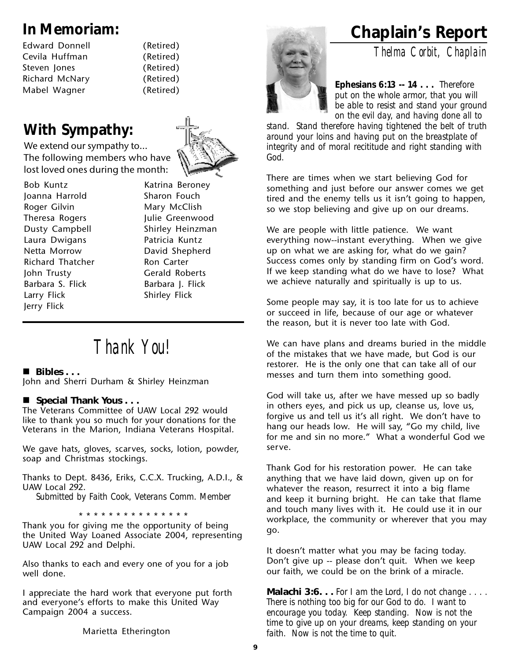| <b>Edward Donnell</b> |
|-----------------------|
| Cevila Huffman        |
| Steven Jones          |
| Richard McNary        |
| Mabel Wagner          |

(Retired) (Retired) (Retired) (Retired) (Retired)

#### **With Sympathy:**

We extend our sympathy to… The following members who have lost loved ones during the month:

Bob Kuntz Katrina Beroney Joanna Harrold Sharon Fouch Roger Gilvin Mary McClish Theresa Rogers **Fig. 10.13 Fig. 2.13 Fig. 2.13 Fig. 2.13 Fig. 2.13 Fig. 2.13 Fig. 2.13 Fig. 2.13 Fig. 2.13 Fig. 2.13 Fig. 2.13 Fig. 2.13 Fig. 2.13 Fig. 2.13 Fig. 2.13 Fig. 2.13 Fig. 2.13 Fig. 2.13 Fig. 2.13 Fig. 2.13 Fig.** Laura Dwigans **Patricia Kuntz** Netta Morrow David Shepherd Richard Thatcher Ron Carter John Trusty Gerald Roberts Barbara S. Flick Barbara J. Flick Larry Flick Shirley Flick Jerry Flick

Dusty Campbell Shirley Heinzman

### *Thank You!*

#### **Bibles . . .**

John and Sherri Durham & Shirley Heinzman

#### ■ Special Thank Yous . . .

The Veterans Committee of UAW Local 292 would like to thank you so much for your donations for the Veterans in the Marion, Indiana Veterans Hospital.

We gave hats, gloves, scarves, socks, lotion, powder, soap and Christmas stockings.

Thanks to Dept. 8436, Eriks, C.C.X. Trucking, A.D.I., & UAW Local 292.

*Submitted by Faith Cook, Veterans Comm. Member*

\* \* \* \* \* \* \* \* \* \* \* \* \* \* \*

Thank you for giving me the opportunity of being the United Way Loaned Associate 2004, representing UAW Local 292 and Delphi.

Also thanks to each and every one of you for a job well done.

I appreciate the hard work that everyone put forth and everyone's efforts to make this United Way Campaign 2004 a success.

Marietta Etherington



### **In Memoriam: Chaplain's Report**

*Thelma Corbit, Chaplain*

**Ephesians 6:13 -- 14 . . .** *Therefore put on the whole armor, that you will be able to resist and stand your ground on the evil day, and having done all to*

*stand. Stand therefore having tightened the belt of truth around your loins and having put on the breastplate of integrity and of moral recititude and right standing with God.*

There are times when we start believing God for something and just before our answer comes we get tired and the enemy tells us it isn't going to happen, so we stop believing and give up on our dreams.

We are people with little patience. We want everything now--instant everything. When we give up on what we are asking for, what do we gain? Success comes only by standing firm on God's word. If we keep standing what do we have to lose? What we achieve naturally and spiritually is up to us.

Some people may say, it is too late for us to achieve or succeed in life, because of our age or whatever the reason, but it is never too late with God.

We can have plans and dreams buried in the middle of the mistakes that we have made, but God is our restorer. He is the only one that can take all of our messes and turn them into something good.

God will take us, after we have messed up so badly in others eyes, and pick us up, cleanse us, love us, forgive us and tell us it's all right. We don't have to hang our heads low. He will say, "Go my child, live for me and sin no more." What a wonderful God we serve.

Thank God for his restoration power. He can take anything that we have laid down, given up on for whatever the reason, resurrect it into a big flame and keep it burning bright. He can take that flame and touch many lives with it. He could use it in our workplace, the community or wherever that you may go.

It doesn't matter what you may be facing today. Don't give up -- please don't quit. When we keep our faith, we could be on the brink of a miracle.

**Malachi 3:6. . .** *For I am the Lord, I do not change . . . . There is nothing too big for our God to do. I want to encourage you today. Keep standing. Now is not the time to give up on your dreams, keep standing on your faith. Now is not the time to quit.*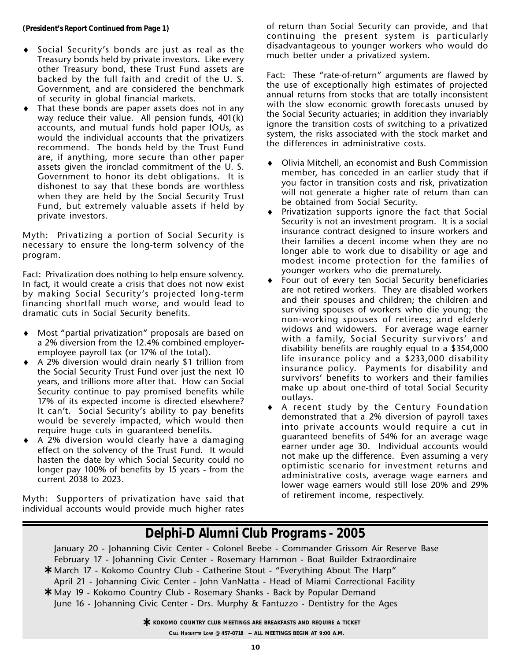- Social Security's bonds are just as real as the Treasury bonds held by private investors. Like every other Treasury bond, these Trust Fund assets are backed by the full faith and credit of the U. S. Government, and are considered the benchmark of security in global financial markets.
- That these bonds are paper assets does not in any way reduce their value. All pension funds, 401(k) accounts, and mutual funds hold paper IOUs, as would the individual accounts that the privatizers recommend. The bonds held by the Trust Fund are, if anything, more secure than other paper assets given the ironclad commitment of the U. S. Government to honor its debt obligations. It is dishonest to say that these bonds are worthless when they are held by the Social Security Trust Fund, but extremely valuable assets if held by private investors.

Myth: Privatizing a portion of Social Security is necessary to ensure the long-term solvency of the program.

Fact: Privatization does nothing to help ensure solvency. In fact, it would create a crisis that does not now exist by making Social Security's projected long-term financing shortfall much worse, and would lead to dramatic cuts in Social Security benefits.

- Most "partial privatization" proposals are based on a 2% diversion from the 12.4% combined employeremployee payroll tax (or 17% of the total).
- ♦ A 2% diversion would drain nearly \$1 trillion from the Social Security Trust Fund over just the next 10 years, and trillions more after that. How can Social Security continue to pay promised benefits while 17% of its expected income is directed elsewhere? It can't. Social Security's ability to pay benefits would be severely impacted, which would then require huge cuts in guaranteed benefits.
- A 2% diversion would clearly have a damaging effect on the solvency of the Trust Fund. It would hasten the date by which Social Security could no longer pay 100% of benefits by 15 years - from the current 2038 to 2023.

Myth: Supporters of privatization have said that individual accounts would provide much higher rates of return than Social Security can provide, and that continuing the present system is particularly disadvantageous to younger workers who would do much better under a privatized system.

Fact: These "rate-of-return" arguments are flawed by the use of exceptionally high estimates of projected annual returns from stocks that are totally inconsistent with the slow economic growth forecasts unused by the Social Security actuaries; in addition they invariably ignore the transition costs of switching to a privatized system, the risks associated with the stock market and the differences in administrative costs.

- ♦ Olivia Mitchell, an economist and Bush Commission member, has conceded in an earlier study that if you factor in transition costs and risk, privatization will not generate a higher rate of return than can be obtained from Social Security.
- Privatization supports ignore the fact that Social Security is not an investment program. It is a social insurance contract designed to insure workers and their families a decent income when they are no longer able to work due to disability or age and modest income protection for the families of younger workers who die prematurely.
- Four out of every ten Social Security beneficiaries are not retired workers. They are disabled workers and their spouses and children; the children and surviving spouses of workers who die young; the non-working spouses of retirees; and elderly widows and widowers. For average wage earner with a family, Social Security survivors' and disability benefits are roughly equal to a \$354,000 life insurance policy and a \$233,000 disability insurance policy. Payments for disability and survivors' benefits to workers and their families make up about one-third of total Social Security outlays.
- ♦ A recent study by the Century Foundation demonstrated that a 2% diversion of payroll taxes into private accounts would require a cut in guaranteed benefits of 54% for an average wage earner under age 30. Individual accounts would not make up the difference. Even assuming a very optimistic scenario for investment returns and administrative costs, average wage earners and lower wage earners would still lose 20% and 29% of retirement income, respectively.

#### *Delphi-D Alumni Club Programs - 2005*

January 20 - Johanning Civic Center - Colonel Beebe - Commander Grissom Air Reserve Base February 17 - Johanning Civic Center - Rosemary Hammon - Boat Builder Extraordinaire March 17 - Kokomo Country Club - Catherine Stout - "Everything About The Harp" **\*** April 21 - Johanning Civic Center - John VanNatta - Head of Miami Correctional Facility May 19 - Kokomo Country Club - Rosemary Shanks - Back by Popular Demand **\*** June 16 - Johanning Civic Center - Drs. Murphy & Fantuzzo - Dentistry for the Ages

> $\star$  **KOKOMO COUNTRY CLUB MEETINGS ARE BREAKFASTS AND REQUIRE A TICKET<br>Call Hughette Love @ 457-0718 -- ALL MEETINGS BEGIN AT 9:00 A M CALL HUGUETTE LOVE @ 457-0718 -- ALL MEETINGS BEGIN AT 9:00 A.M.**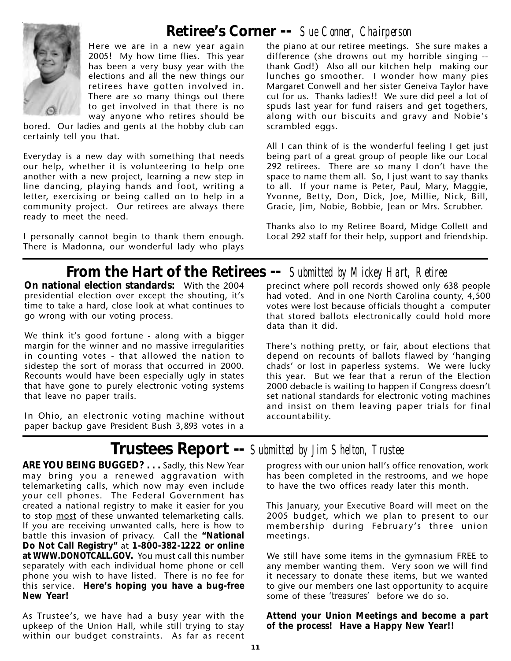#### **Retiree's Corner --** *Sue Conner, Chairperson*



Here we are in a new year again 2005! My how time flies. This year has been a very busy year with the elections and all the new things our retirees have gotten involved in. There are so many things out there to get involved in that there is no way anyone who retires should be

bored. Our ladies and gents at the hobby club can certainly tell you that.

Everyday is a new day with something that needs our help, whether it is volunteering to help one another with a new project, learning a new step in line dancing, playing hands and foot, writing a letter, exercising or being called on to help in a community project. Our retirees are always there ready to meet the need.

I personally cannot begin to thank them enough. There is Madonna, our wonderful lady who plays

the piano at our retiree meetings. She sure makes a difference (she drowns out my horrible singing - thank God!) Also all our kitchen help making our lunches go smoother. I wonder how many pies Margaret Conwell and her sister Geneiva Taylor have cut for us. Thanks ladies!! We sure did peel a lot of spuds last year for fund raisers and get togethers, along with our biscuits and gravy and Nobie's scrambled eggs.

All I can think of is the wonderful feeling I get just being part of a great group of people like our Local 292 retirees. There are so many I don't have the space to name them all. So, I just want to say thanks to all. If your name is Peter, Paul, Mary, Maggie, Yvonne, Betty, Don, Dick, Joe, Millie, Nick, Bill, Gracie, Jim, Nobie, Bobbie, Jean or Mrs. Scrubber.

Thanks also to my Retiree Board, Midge Collett and Local 292 staff for their help, support and friendship.

#### **From the Hart of the Retirees --** *Submitted by Mickey Hart, Retiree*

**On national election standards:** With the 2004 presidential election over except the shouting, it's time to take a hard, close look at what continues to go wrong with our voting process.

We think it's good fortune - along with a bigger margin for the winner and no massive irregularities in counting votes - that allowed the nation to sidestep the sort of morass that occurred in 2000. Recounts would have been especially ugly in states that have gone to purely electronic voting systems that leave no paper trails.

In Ohio, an electronic voting machine without paper backup gave President Bush 3,893 votes in a

precinct where poll records showed only 638 people had voted. And in one North Carolina county, 4,500 votes were lost because officials thought a computer that stored ballots electronically could hold more data than it did.

There's nothing pretty, or fair, about elections that depend on recounts of ballots flawed by 'hanging chads' or lost in paperless systems. We were lucky this year. But we fear that a rerun of the Election 2000 debacle is waiting to happen if Congress doesn't set national standards for electronic voting machines and insist on them leaving paper trials for final accountability.

### **Trustees Report --** *Submitted by Jim Shelton, Trustee*

ARE YOU BEING BUGGED? . . . Sadly, this New Year may bring you a renewed aggravation with telemarketing calls, which now may even include your cell phones. The Federal Government has created a national registry to make it easier for you to stop most of these unwanted telemarketing calls. If you are receiving unwanted calls, here is how to battle this invasion of privacy. Call the **"National Do Not Call Registry"** at **1-800-382-1222 or online at** *WWW.DONOTCALL.GOV***.**You must call this number separately with each individual home phone or cell phone you wish to have listed. There is no fee for this service. **Here's hoping you have a bug-free New Year!**

As Trustee's, we have had a busy year with the upkeep of the Union Hall, while still trying to stay within our budget constraints. As far as recent

progress with our union hall's office renovation, work has been completed in the restrooms, and we hope to have the two offices ready later this month.

This January, your Executive Board will meet on the 2005 budget, which we plan to present to our membership during February's three union meetings.

We still have some items in the gymnasium FREE to any member wanting them. Very soon we will find it necessary to donate these items, but we wanted to give our members one last opportunity to acquire some of these *'treasures'* before we do so.

**Attend your Union Meetings and become a part of the process! Have a Happy New Year!!**